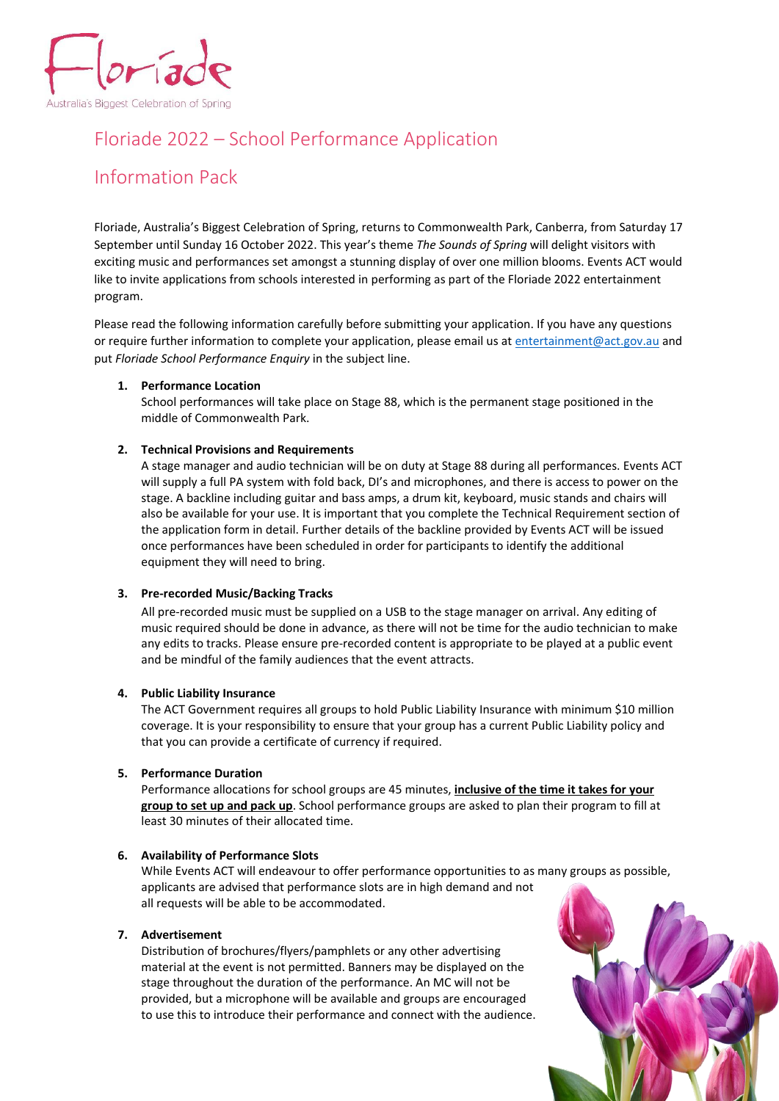

# Floriade 2022 – School Performance Application

# Information Pack

Floriade, Australia's Biggest Celebration of Spring, returns to Commonwealth Park, Canberra, from Saturday 17 September until Sunday 16 October 2022. This year's theme *The Sounds of Spring* will delight visitors with exciting music and performances set amongst a stunning display of over one million blooms. Events ACT would like to invite applications from schools interested in performing as part of the Floriade 2022 entertainment program.

Please read the following information carefully before submitting your application. If you have any questions or require further information to complete your application, please email us a[t entertainment@act.gov.au](mailto:entertainment@act.gov.au) and put *Floriade School Performance Enquiry* in the subject line.

# **1. Performance Location**

School performances will take place on Stage 88, which is the permanent stage positioned in the middle of Commonwealth Park.

# **2. Technical Provisions and Requirements**

A stage manager and audio technician will be on duty at Stage 88 during all performances. Events ACT will supply a full PA system with fold back, DI's and microphones, and there is access to power on the stage. A backline including guitar and bass amps, a drum kit, keyboard, music stands and chairs will also be available for your use. It is important that you complete the Technical Requirement section of the application form in detail. Further details of the backline provided by Events ACT will be issued once performances have been scheduled in order for participants to identify the additional equipment they will need to bring.

### **3. Pre-recorded Music/Backing Tracks**

All pre-recorded music must be supplied on a USB to the stage manager on arrival. Any editing of music required should be done in advance, as there will not be time for the audio technician to make any edits to tracks. Please ensure pre-recorded content is appropriate to be played at a public event and be mindful of the family audiences that the event attracts.

# **4. Public Liability Insurance**

The ACT Government requires all groups to hold Public Liability Insurance with minimum \$10 million coverage. It is your responsibility to ensure that your group has a current Public Liability policy and that you can provide a certificate of currency if required.

### **5. Performance Duration**

Performance allocations for school groups are 45 minutes, **inclusive of the time it takes for your group to set up and pack up**. School performance groups are asked to plan their program to fill at least 30 minutes of their allocated time.

# **6. Availability of Performance Slots**

While Events ACT will endeavour to offer performance opportunities to as many groups as possible, applicants are advised that performance slots are in high demand and not all requests will be able to be accommodated.

### **7. Advertisement**

Distribution of brochures/flyers/pamphlets or any other advertising material at the event is not permitted. Banners may be displayed on the stage throughout the duration of the performance. An MC will not be provided, but a microphone will be available and groups are encouraged to use this to introduce their performance and connect with the audience.